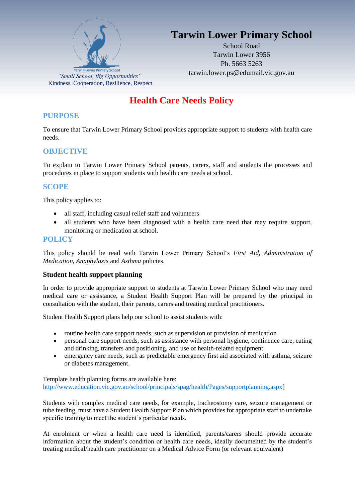

# **Tarwin Lower Primary School**

School Road Tarwin Lower 3956 Ph. 5663 5263

# **Health Care Needs Policy**

### **PURPOSE**

To ensure that Tarwin Lower Primary School provides appropriate support to students with health care needs.

## **OBJECTIVE**

To explain to Tarwin Lower Primary School parents, carers, staff and students the processes and procedures in place to support students with health care needs at school.

## **SCOPE**

This policy applies to:

- all staff, including casual relief staff and volunteers
- all students who have been diagnosed with a health care need that may require support, monitoring or medication at school.

### **POLICY**

This policy should be read with Tarwin Lower Primary School's *First Aid, Administration of Medication, Anaphylaxis* and *Asthma* policies.

#### **Student health support planning**

In order to provide appropriate support to students at Tarwin Lower Primary School who may need medical care or assistance, a Student Health Support Plan will be prepared by the principal in consultation with the student, their parents, carers and treating medical practitioners.

Student Health Support plans help our school to assist students with:

- routine health care support needs, such as supervision or provision of medication
- personal care support needs, such as assistance with personal hygiene, continence care, eating and drinking, transfers and positioning, and use of health-related equipment
- emergency care needs, such as predictable emergency first aid associated with asthma, seizure or diabetes management.

Template health planning forms are available here: [http://www.education.vic.gov.au/school/principals/spag/health/Pages/supportplanning.aspx\]](http://www.education.vic.gov.au/school/principals/spag/health/Pages/supportplanning.aspx)

Students with complex medical care needs, for example, tracheostomy care, seizure management or tube feeding, must have a Student Health Support Plan which provides for appropriate staff to undertake specific training to meet the student's particular needs.

At enrolment or when a health care need is identified, parents/carers should provide accurate information about the student's condition or health care needs, ideally documented by the student's treating medical/health care practitioner on a Medical Advice Form (or relevant equivalent)